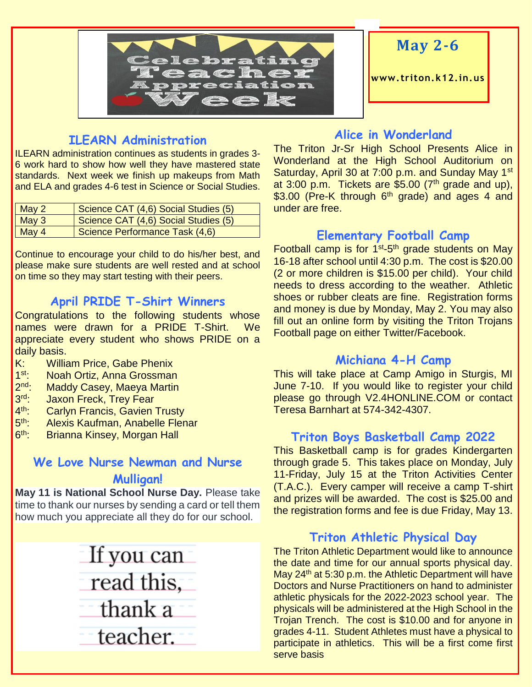

# **May 2-6**

**www. triton.k12.in.us**

#### **ILEARN Administration**

ILEARN administration continues as students in grades 3- 6 work hard to show how well they have mastered state standards. Next week we finish up makeups from Math and ELA and grades 4-6 test in Science or Social Studies.

| $\vert$ May 2              | Science CAT (4,6) Social Studies (5) |
|----------------------------|--------------------------------------|
| $\sqrt{\phantom{a}}$ May 3 | Science CAT (4,6) Social Studies (5) |
| $\sqrt{\frac{May}{4}}$     | Science Performance Task (4,6)       |

Continue to encourage your child to do his/her best, and please make sure students are well rested and at school on time so they may start testing with their peers.

#### **April PRIDE T-Shirt Winners**

Congratulations to the following students whose names were drawn for a PRIDE T-Shirt. We appreciate every student who shows PRIDE on a daily basis.

- K: William Price, Gabe Phenix
- $1$ st. Noah Ortiz, Anna Grossman
- $2<sup>nd</sup>$ . Maddy Casey, Maeya Martin
- $3rd -$ **Jaxon Freck, Trey Fear**
- $4<sup>th</sup>$ **Carlyn Francis, Gavien Trusty**
- $5<sup>th</sup>$ : Alexis Kaufman, Anabelle Flenar
- $6<sup>th</sup>$ Brianna Kinsey, Morgan Hall

#### **We Love Nurse Newman and Nurse Mulligan!**

**May 11 is National School Nurse Day.** Please take time to thank our nurses by sending a card or tell them how much you appreciate all they do for our school.

# If you can read this, thank a teacher.

#### **Alice in Wonderland**

The Triton Jr-Sr High School Presents Alice in Wonderland at the High School Auditorium on Saturday, April 30 at 7:00 p.m. and Sunday May 1<sup>st</sup> at  $3:00$  p.m. Tickets are \$5.00 ( $7<sup>th</sup>$  grade and up),  $$3.00$  (Pre-K through 6<sup>th</sup> grade) and ages 4 and under are free.

#### **Elementary Football Camp**

Football camp is for 1<sup>st</sup>-5<sup>th</sup> grade students on May 16-18 after school until 4:30 p.m. The cost is \$20.00 (2 or more children is \$15.00 per child). Your child needs to dress according to the weather. Athletic shoes or rubber cleats are fine. Registration forms and money is due by Monday, May 2. You may also fill out an online form by visiting the Triton Trojans Football page on either Twitter/Facebook.

#### **Michiana 4-H Camp**

This will take place at Camp Amigo in Sturgis, MI June 7-10. If you would like to register your child please go through V2.4HONLINE.COM or contact Teresa Barnhart at 574-342-4307.

#### **Triton Boys Basketball Camp 2022**

This Basketball camp is for grades Kindergarten through grade 5. This takes place on Monday, July 11-Friday, July 15 at the Triton Activities Center (T.A.C.). Every camper will receive a camp T-shirt and prizes will be awarded. The cost is \$25.00 and the registration forms and fee is due Friday, May 13.

#### **Triton Athletic Physical Day**

The Triton Athletic Department would like to announce the date and time for our annual sports physical day. May  $24<sup>th</sup>$  at 5:30 p.m. the Athletic Department will have Doctors and Nurse Practitioners on hand to administer athletic physicals for the 2022-2023 school year. The physicals will be administered at the High School in the Trojan Trench. The cost is \$10.00 and for anyone in grades 4-11. Student Athletes must have a physical to participate in athletics. This will be a first come first serve basis